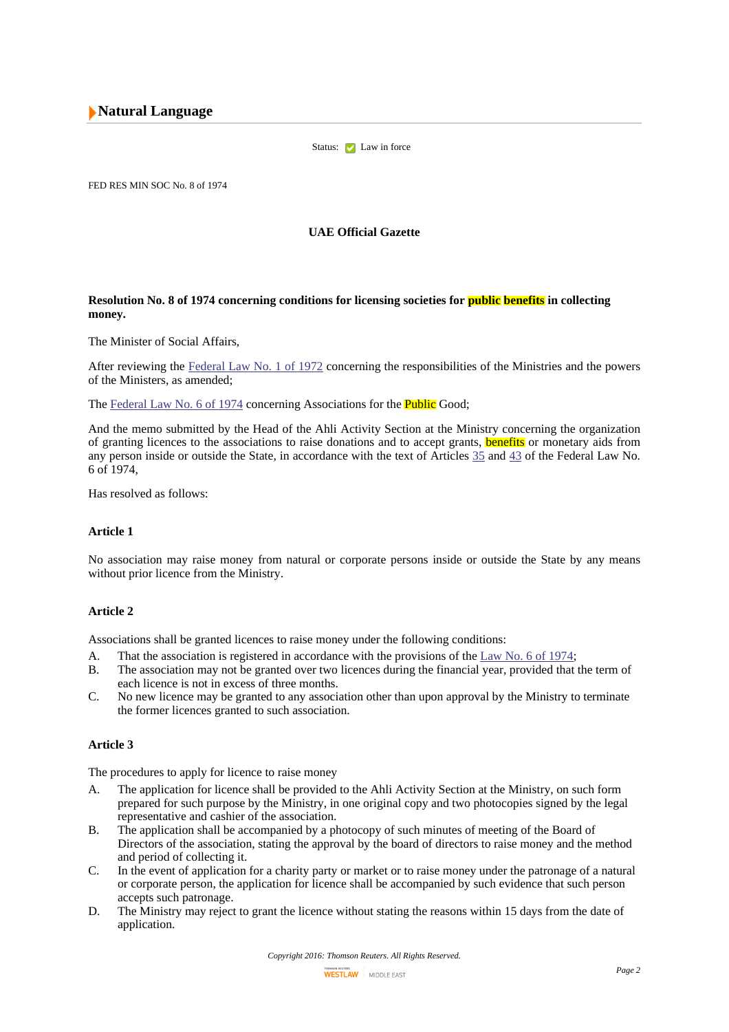# **Natural Language**

Status: Law in force

FED RES MIN SOC No. 8 of 1974

**UAE Official Gazette**

### **Resolution No. 8 of 1974 concerning conditions for licensing societies for public benefits in collecting money.**

The Minister of Social Affairs,

After reviewing the [Federal](http://login-middleeast.westlaw.com/maf/app/document?docguid=I325D80E6E6FD401CB1C61AC54D1AE964&startChunk=1&endChunk=2) Law No. 1 of 1972 concerning the responsibilities of the Ministries and the powers of the Ministers, as amended;

The [Federal](http://login-middleeast.westlaw.com/maf/app/document?docguid=IF89A826F31E645EA83EBFB60D2BC2A6C&startChunk=1&endChunk=2) Law No. 6 of 1974 concerning Associations for the **Public** Good;

And the memo submitted by the Head of the Ahli Activity Section at the Ministry concerning the organization of granting licences to the associations to raise donations and to accept grants, **benefits** or monetary aids from any person inside or outside the State, in accordance with the text of Articles [35](http://login-middleeast.westlaw.com/maf/app/document?docguid=IF89A826F31E645EA83EBFB60D2BC2A6C&jump-to-anchor=UAELEG-FED-LAW_mg_1974_mg_6_elem_ART_nu_35_ch_CH_nu_IV) and [43](http://login-middleeast.westlaw.com/maf/app/document?docguid=IF89A826F31E645EA83EBFB60D2BC2A6C&jump-to-anchor=UAELEG-FED-LAW_mg_1974_mg_6_elem_ART_nu_43_ch_CH_nu_VI) of the Federal Law No. 6 of 1974,

Has resolved as follows:

# **Article 1**

No association may raise money from natural or corporate persons inside or outside the State by any means without prior licence from the Ministry.

### **Article 2**

Associations shall be granted licences to raise money under the following conditions:

- A. That the association is registered in accordance with the provisions of the [Law](http://login-middleeast.westlaw.com/maf/app/document?docguid=IF89A826F31E645EA83EBFB60D2BC2A6C&startChunk=1&endChunk=2) No. 6 of 1974;
- B. The association may not be granted over two licences during the financial year, provided that the term of each licence is not in excess of three months.
- C. No new licence may be granted to any association other than upon approval by the Ministry to terminate the former licences granted to such association.

#### **Article 3**

The procedures to apply for licence to raise money

- A. The application for licence shall be provided to the Ahli Activity Section at the Ministry, on such form prepared for such purpose by the Ministry, in one original copy and two photocopies signed by the legal representative and cashier of the association.
- B. The application shall be accompanied by a photocopy of such minutes of meeting of the Board of Directors of the association, stating the approval by the board of directors to raise money and the method and period of collecting it.
- C. In the event of application for a charity party or market or to raise money under the patronage of a natural or corporate person, the application for licence shall be accompanied by such evidence that such person accepts such patronage.
- D. The Ministry may reject to grant the licence without stating the reasons within 15 days from the date of application.